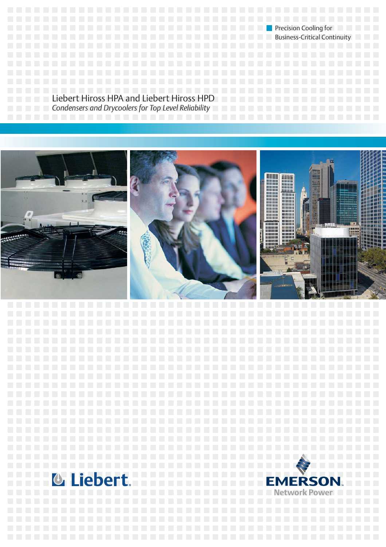**PRECISION COOLINGER IN THE COOL COOLINGER IN THE COOL COOLINGER IN THE COOLINGER IN THE COOLINGER IN THE COOL** Business-Critical Continuity **Continuity and Continuity Business-Critical Continuity** 

Liebert Hiross HPA and Liebert Hiross HPD *Condensers and Drycoolers for Top Level Reliability*

iebert.



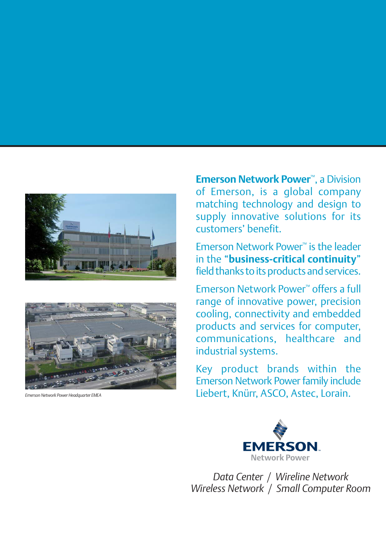



**Emerson Network Power**™, a Division of Emerson, is a global company matching technology and design to supply innovative solutions for its customers' benefit.

Emerson Network Power™ is the leader in the "**business-critical continuity**" field thanks to its products and services.

Emerson Network Power™ offers a full range of innovative power, precision cooling, connectivity and embedded products and services for computer, communications, healthcare and industrial systems.

Key product brands within the [Emerson Network Power](http://planetaklimata.com.ua/ua/proizvoditeli/kondicionery-emerson-network-power/) family include **Emerson Network Power Headquarter EMEA** Liebert, Knürr, ASCO, Astec, Lorain.



*Data Center / Wireline Network Wireless Network / Small Computer Room*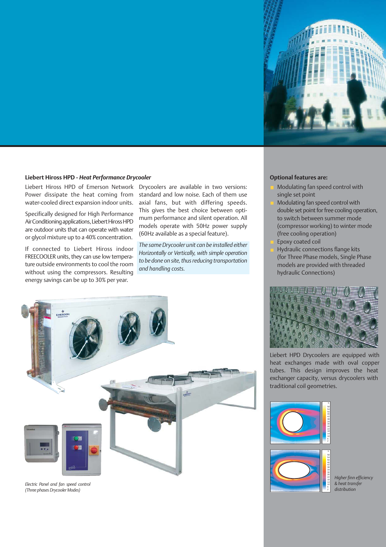

### **Liebert Hiross HPD -** *Heat Performance Drycooler*

Liebert Hiross HPD of Emerson Network Power dissipate the heat coming from water-cooled direct expansion indoor units.

Specifically designed for High Performance Air Conditioning applications, [Liebert](http://planetaklimata.com.ua/ua/katalog-proizvoditeli/Emerson-Network-Power/) Hiross HPD are outdoor units that can operate with water or glycol mixture up to a 40% concentration.

If connected to Liebert Hiross indoor FREECOOLER units, they can use low temperature outside environments to cool the room without using the compressors. Resulting energy savings can be up to 30% per year.

Drycoolers are available in two versions: standard and low noise. Each of them use axial fans, but with differing speeds. This gives the best choice between optimum performance and silent operation. All models operate with 50Hz power supply (60Hz available as a special feature).

*The same Drycooler unit can be installed either Horizontally or Vertically, with simple operation to be done on site, thus reducing transportation and handling costs.*



*Electric Panel and fan speed control (Three phases Drycooler Modes)*

#### **Optional features are:**

- Modulating fan speed control with single set point
- Modulating fan speed control with double set point for free cooling operation, to switch between summer mode (compressor working) to winter mode (free cooling operation)
- Epoxy coated coil
	- Hydraulic connections flange kits (for Three Phase models, Single Phase models are provided with threaded hydraulic Connections)



[Liebert HPD Drycoolers](http://planetaklimata.com.ua/ua/catalog/lineup/?goodsid=1058&path=root-20-33-198-1058) are equipped with heat exchanges made with oval copper tubes. This design improves the heat exchanger capacity, versus drycoolers with traditional coil geometries.





*Higher finn efficiency & heat transfer distribution*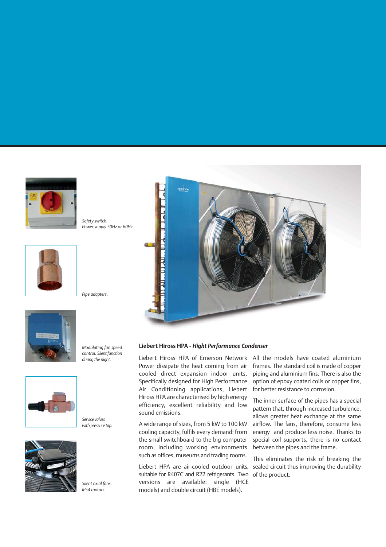

*Safety switch. Power supply 50Hz or 60Hz.*





*Modulating fan speed control. Silent function during the night.*

*Pipe adapters.*



*Silent axial fans. IP54 motors.*



### **Liebert Hiross HPA -** *Hight Performance Condenser*

Liebert Hiross HPA of Emerson Network Power dissipate the heat coming from air cooled direct expansion indoor units. Specifically designed for High Performance Air Conditioning applications, Liebert Hiross HPA are characterised by high energy efficiency, excellent reliability and low sound emissions.

A wide range of sizes, from 5 kW to 100 kW cooling capacity, fulfils every demand: from the small switchboard to the big computer room, including working environments such as offices, museums and trading rooms.

[Liebert HPA](http://planetaklimata.com.ua/ua/catalog/lineup/?goodsid=1057&path=root-20-33-117-1057) are air-cooled outdoor units, suitable for R407C and R22 refrigerants. Two versions are available: single (HCE models) and double circuit (HBE models).

All the models have coated aluminium frames. The standard coil is made of copper piping and aluminium fins. There is also the option of epoxy coated coils or copper fins, for better resistance to corrosion.

The inner surface of the pipes has a special pattern that, through increased turbulence, allows greater heat exchange at the same airflow. The fans, therefore, consume less energy and produce less noise. Thanks to special coil supports, there is no contact between the pipes and the frame.

This eliminates the risk of breaking the sealed circuit thus improving the durability of the product.

*Service valves with pressure tap.*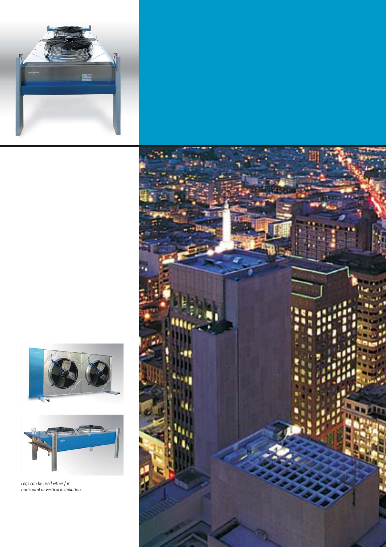





*Legs can be used either for horizontal or vertical installation.*

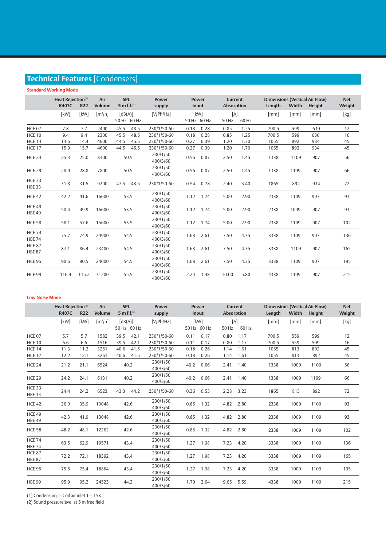# **Technical Features** [Condensers]

## **Standard Working Mode**

|                                | Heat Rejection <sup>(1)</sup><br><b>R407C</b><br><b>R22</b> |       | Air<br><b>Volume</b>  | <b>SPL</b><br>5 m f.f. $^{(2)}$ | <b>Power</b><br>supply |      | <b>Power</b><br>Input |              | <b>Current</b><br><b>Absorption</b> |       | Width | <b>Dimensions (Vertical Air Flow)</b><br>Height | <b>Net</b><br>Weight                                                                                                                                                                                                                                                                                                                                                                                                                                                                                                                                                                                                                                               |
|--------------------------------|-------------------------------------------------------------|-------|-----------------------|---------------------------------|------------------------|------|-----------------------|--------------|-------------------------------------|-------|-------|-------------------------------------------------|--------------------------------------------------------------------------------------------------------------------------------------------------------------------------------------------------------------------------------------------------------------------------------------------------------------------------------------------------------------------------------------------------------------------------------------------------------------------------------------------------------------------------------------------------------------------------------------------------------------------------------------------------------------------|
|                                | [kW]                                                        | [kW]  | $\lceil m^3/h \rceil$ | [dB(A)]<br>50 Hz 60 Hz          | [V/Ph/Hz]              |      | [kW]<br>50 Hz 60 Hz   | [A]<br>50 Hz | 60 Hz                               | [mm]  | [mm]  | [mm]                                            | $[kg] % \begin{center} % \includegraphics[width=\linewidth]{imagesSupplemental_3.png} % \end{center} % \caption { % \textit{DefNet} of the \textit{DefNet} dataset. % Note that the \textit{DefNet} and \textit{DefNet} dataset. % Note that the \textit{DefNet} and \textit{DefNet} dataset. % Note that the \textit{DefNet} and \textit{DefNet} dataset. % Note that the \textit{DefNet} and \textit{DefNet} dataset. % Note that the \textit{DefNet} and \textit{DefNet} dataset. % Note that the \textit{DefNet} and \textit{DefNet} dataset. % Note that the \textit{DefNet} and \textit{DefNet} dataset. % Note that the \textit{DefNet} and \textit{DefNet$ |
| <b>HCE 07</b>                  | 7.8                                                         | 7.7   | 2400                  | 45.5<br>48.5                    | 230/1/50-60            | 0.18 | 0.28                  | 0.85         | 1.25                                | 700.5 | 599   | 630                                             | 12                                                                                                                                                                                                                                                                                                                                                                                                                                                                                                                                                                                                                                                                 |
| <b>HCE 10</b>                  | 9.4                                                         | 9.4   | 2300                  | 48.5<br>45.5                    | 230/1/50-60            | 0.18 | 0.28                  | 0.85         | 1.25                                | 700.5 | 599   | 630                                             | 16                                                                                                                                                                                                                                                                                                                                                                                                                                                                                                                                                                                                                                                                 |
| <b>HCE 14</b>                  | 14.6                                                        | 14.4  | 4600                  | 44.5<br>45.5                    | 230/1/50-60            | 0.27 | 0.39                  | 1.20         | 1.70                                | 1055  | 892   | 934                                             | 45                                                                                                                                                                                                                                                                                                                                                                                                                                                                                                                                                                                                                                                                 |
| <b>HCE 17</b>                  | 15.9                                                        | 15.7  | 4600                  | 44.5<br>45.5                    | 230/1/50-60            | 0.27 | 0.39                  | 1.20         | 1.70                                | 1055  | 892   | 934                                             | 45                                                                                                                                                                                                                                                                                                                                                                                                                                                                                                                                                                                                                                                                 |
| <b>HCE 24</b>                  | 25.3                                                        | 25.0  | 8300                  | 50.5                            | 230/1/50<br>400/3/60   | 0.56 | 0.87                  | 2.50         | 1.45                                | 1338  | 1109  | 907                                             | 56                                                                                                                                                                                                                                                                                                                                                                                                                                                                                                                                                                                                                                                                 |
| <b>HCE 29</b>                  | 28.9                                                        | 28.8  | 7800                  | 50.5                            | 230/1/50<br>400/3/60   | 0.56 | 0.87                  | 2.50         | 1.45                                | 1338  | 1109  | 907                                             | 66                                                                                                                                                                                                                                                                                                                                                                                                                                                                                                                                                                                                                                                                 |
| <b>HCE 33</b><br><b>HBE 33</b> | 31.8                                                        | 31.5  | 9200                  | 48.5<br>47.5                    | 230/1/50-60            | 0.54 | 0.78                  | 2.40         | 3.40                                | 1865  | 892   | 934                                             | 72                                                                                                                                                                                                                                                                                                                                                                                                                                                                                                                                                                                                                                                                 |
| <b>HCE 42</b>                  | 42.2                                                        | 41.6  | 16600                 | 53.5                            | 230/1/50<br>400/3/60   |      | 1.12 1.74             | 5.00         | 2.90                                | 2338  | 1109  | 907                                             | 93                                                                                                                                                                                                                                                                                                                                                                                                                                                                                                                                                                                                                                                                 |
| <b>HCE 49</b><br><b>HBE 49</b> | 50.4                                                        | 49.9  | 16600                 | 53.5                            | 230/1/50<br>400/3/60   |      | 1.12 1.74             | 5.00         | 2.90                                | 2338  | 1009  | 907                                             | 93                                                                                                                                                                                                                                                                                                                                                                                                                                                                                                                                                                                                                                                                 |
| <b>HCE 58</b>                  | 58.1                                                        | 57.6  | 15600                 | 53.5                            | 230/1/50<br>400/3/60   | 1.12 | 1.74                  | 5.00         | 2.90                                | 2338  | 1109  | 907                                             | 102                                                                                                                                                                                                                                                                                                                                                                                                                                                                                                                                                                                                                                                                |
| <b>HCE 74</b><br><b>HBE 74</b> | 75.7                                                        | 74.9  | 24900                 | 54.5                            | 230/1/50<br>400/3/60   | 1.68 | 2.61                  | 7.50         | 4.35                                | 3338  | 1109  | 907                                             | 136                                                                                                                                                                                                                                                                                                                                                                                                                                                                                                                                                                                                                                                                |
| <b>HCE 87</b><br><b>HBE 87</b> | 87.1                                                        | 86.4  | 23400                 | 54.5                            | 230/1/50<br>400/3/60   | 1.68 | 2.61                  | 7.50         | 4.35                                | 3338  | 1109  | 907                                             | 165                                                                                                                                                                                                                                                                                                                                                                                                                                                                                                                                                                                                                                                                |
| <b>HCE 95</b>                  | 90.6                                                        | 90.5  | 24000                 | 54.5                            | 230/1/50<br>400/3/60   | 1.68 | 2.61                  | 7.50         | 4.35                                | 3338  | 1109  | 907                                             | 195                                                                                                                                                                                                                                                                                                                                                                                                                                                                                                                                                                                                                                                                |
| <b>HCE 99</b>                  | 116.4                                                       | 115.2 | 31200                 | 55.5                            | 230/1/50<br>400/3/60   | 2.24 | 3.48                  | 10.00        | 5.80                                | 4338  | 1109  | 907                                             | 215                                                                                                                                                                                                                                                                                                                                                                                                                                                                                                                                                                                                                                                                |

#### **Low Noise Mode**

|                                | Heat Rejection <sup>(1)</sup><br><b>R407C</b><br><b>R22</b> |      | Air<br><b>Volume</b>         | <b>SPL</b><br>5 m f.f. $^{(2)}$ | <b>Power</b><br>supply | <b>Power</b><br>Input | <b>Current</b><br><b>Absorption</b> | Length | Width | <b>Dimensions (Vertical Air Flow)</b><br>Height | <b>Net</b><br>Weight                                                                                                                                                                                                                                                                                                                                                                                                                                                                                                                                                                                                                                               |
|--------------------------------|-------------------------------------------------------------|------|------------------------------|---------------------------------|------------------------|-----------------------|-------------------------------------|--------|-------|-------------------------------------------------|--------------------------------------------------------------------------------------------------------------------------------------------------------------------------------------------------------------------------------------------------------------------------------------------------------------------------------------------------------------------------------------------------------------------------------------------------------------------------------------------------------------------------------------------------------------------------------------------------------------------------------------------------------------------|
|                                | [kW]                                                        | [kW] | $\left[\frac{m^3}{h}\right]$ | [dB(A)]<br>50 Hz 60 Hz          | [V/Ph/Hz]              | [kW]<br>50 Hz 60 Hz   | [A]<br>60 Hz<br>50 Hz               | [mm]   | [mm]  | [mm]                                            | $[kg] % \begin{center} % \includegraphics[width=\linewidth]{imagesSupplemental_3.png} % \end{center} % \caption { % \textit{DefNet} of the \textit{DefNet} dataset. % Note that the \textit{DefNet} and \textit{DefNet} dataset. % Note that the \textit{DefNet} and \textit{DefNet} dataset. % Note that the \textit{DefNet} and \textit{DefNet} dataset. % Note that the \textit{DefNet} and \textit{DefNet} dataset. % Note that the \textit{DefNet} and \textit{DefNet} dataset. % Note that the \textit{DefNet} and \textit{DefNet} dataset. % Note that the \textit{DefNet} and \textit{DefNet} dataset. % Note that the \textit{DefNet} and \textit{DefNet$ |
| HCE 07                         | 5.7                                                         | 5.7  | 1582                         | 39.5<br>42.1                    | 230/1/50-60            | 0.17<br>0.11          | 0.80<br>1.17                        | 700,5  | 559   | 599                                             | 12                                                                                                                                                                                                                                                                                                                                                                                                                                                                                                                                                                                                                                                                 |
| <b>HCE 10</b>                  | 6.6                                                         | 6.6  | 1516                         | 39.5<br>42.1                    | 230/1/50-60            | 0.17<br>0.11          | 0.80<br>1.17                        | 700.5  | 559   | 599                                             | 16                                                                                                                                                                                                                                                                                                                                                                                                                                                                                                                                                                                                                                                                 |
| <b>HCE 14</b>                  | 11.3                                                        | 11.2 | 3261                         | 40.6<br>41.5                    | 230/1/50-60            | 0.18<br>0.26          | 1.14<br>1.61                        | 1055   | 813   | 892                                             | 45                                                                                                                                                                                                                                                                                                                                                                                                                                                                                                                                                                                                                                                                 |
| <b>HCE 17</b>                  | 12.2                                                        | 12.1 | 3261                         | 41.5<br>40.6                    | 230/1/50-60            | 0.18<br>0.26          | 1.14<br>1.61                        | 1055   | 813   | 892                                             | 45                                                                                                                                                                                                                                                                                                                                                                                                                                                                                                                                                                                                                                                                 |
| <b>HCE 24</b>                  | 21.2                                                        | 21.1 | 6524                         | 40.2                            | 230/1/50<br>400/3/60   | 0.66<br>40.2          | 2.41<br>1.40                        | 1338   | 1009  | 1109                                            | 56                                                                                                                                                                                                                                                                                                                                                                                                                                                                                                                                                                                                                                                                 |
| <b>HCE 29</b>                  | 24.2                                                        | 24.1 | 6131                         | 40.2                            | 230/1/50<br>400/3/60   | 40.2<br>0.66          | 2.41<br>1.40                        | 1338   | 1009  | 1109                                            | 66                                                                                                                                                                                                                                                                                                                                                                                                                                                                                                                                                                                                                                                                 |
| <b>HCE 33</b><br><b>HBE 33</b> | 24.4                                                        | 24.2 | 6523                         | 44.2<br>43.3                    | 230/1/50-60            | 0.36<br>0.53          | 2.28<br>3.23                        | 1865   | 813   | 892                                             | 72                                                                                                                                                                                                                                                                                                                                                                                                                                                                                                                                                                                                                                                                 |
| <b>HCE 42</b>                  | 36.0                                                        | 35.9 | 13048                        | 42.6                            | 230/1/50<br>400/3/60   | 1.32<br>0.85          | 4.82<br>2.80                        | 2338   | 1009  | 1109                                            | 93                                                                                                                                                                                                                                                                                                                                                                                                                                                                                                                                                                                                                                                                 |
| <b>HCE 49</b><br><b>HBE 49</b> | 42.3                                                        | 41.9 | 13048                        | 42.6                            | 230/1/50<br>400/3/60   | 0.85<br>1.32          | 4.82<br>2.80                        | 2338   | 1009  | 1109                                            | 93                                                                                                                                                                                                                                                                                                                                                                                                                                                                                                                                                                                                                                                                 |
| <b>HCE 58</b>                  | 48.2                                                        | 48.1 | 12262                        | 42.6                            | 230/1/50<br>400/3/60   | 0.85<br>1.32          | 4.82<br>2.80                        | 2338   | 1009  | 1109                                            | 102                                                                                                                                                                                                                                                                                                                                                                                                                                                                                                                                                                                                                                                                |
| <b>HCE 74</b><br><b>HBE 74</b> | 63.5                                                        | 62.9 | 19571                        | 43.4                            | 230/1/50<br>400/3/60   | 1.98<br>1.27          | 7.23<br>4.20                        | 3338   | 1009  | 1109                                            | 136                                                                                                                                                                                                                                                                                                                                                                                                                                                                                                                                                                                                                                                                |
| <b>HCE 87</b><br><b>HBE 87</b> | 72.2                                                        | 72.1 | 18392                        | 43.4                            | 230/1/50<br>400/3/60   | 1.27<br>1.98          | 7.23<br>4.20                        | 3338   | 1009  | 1109                                            | 165                                                                                                                                                                                                                                                                                                                                                                                                                                                                                                                                                                                                                                                                |
| <b>HCE 95</b>                  | 75.5                                                        | 75.4 | 18864                        | 43.4                            | 230/1/50<br>400/3/60   | 1.98<br>1.27          | 7.23<br>4.20                        | 3338   | 1009  | 1109                                            | 195                                                                                                                                                                                                                                                                                                                                                                                                                                                                                                                                                                                                                                                                |
| <b>HBE 99</b>                  | 95.9                                                        | 95.2 | 24523                        | 44.2                            | 230/1/50<br>400/3/60   | 1.70<br>2.64          | 9.65<br>5.59                        | 4338   | 1009  | 1109                                            | 215                                                                                                                                                                                                                                                                                                                                                                                                                                                                                                                                                                                                                                                                |

(1) Condensing T- Coil air inlet T = 15K

(2) Sound pressurelevel at 5 m free field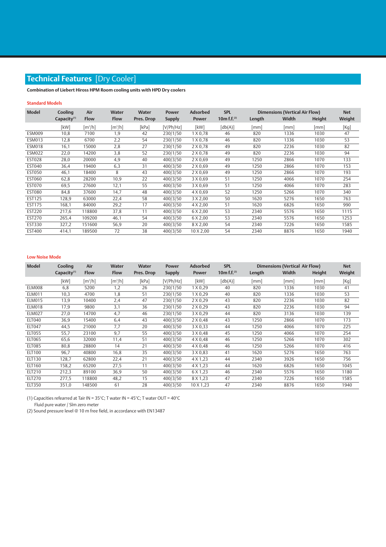# **Technical Features** [Dry Cooler]

**Combination of Liebert Hiross HPM Room cooling units with HPD Dry coolers**

## **Standard Models**

| Cooling        | Air                   | <b>Water</b>        | <b>Water</b> | <b>Power</b>  | <b>Adsorbed</b>  | <b>SPL</b>            | <b>Dimensions (Vertical Air Flow)</b> |       |        | <b>Net</b> |
|----------------|-----------------------|---------------------|--------------|---------------|------------------|-----------------------|---------------------------------------|-------|--------|------------|
| Capacity $(1)$ | <b>Flow</b>           | <b>Flow</b>         | Pres. Drop   | <b>Supply</b> | <b>Power</b>     | 10m f.f. $(2)$        | Length                                | Width | Height | Weight     |
| [kW]           | $\lceil m^3/h \rceil$ | [m <sup>3</sup> /h] | [kPa]        | [V/Ph/Hz]     | [kW]             | $\lceil db(A) \rceil$ | [mm]                                  | [mm]  | [mm]   | [Kg]       |
| 10,8           | 7100                  | 1,9                 | 42           | 230/1/50      | 1 X 0,78         | 46                    | 820                                   | 1336  | 1030   | 47         |
| 12,8           | 6700                  | 2,2                 | 54           | 230/1/50      | 1 X 0,78         | 46                    | 820                                   | 1336  | 1030   | 53         |
| 16,1           | 15000                 | 2,8                 | 27           | 230/1/50      | 2 X 0,78         | 49                    | 820                                   | 2236  | 1030   | 82         |
| 22,0           | 14200                 | 3,8                 | 52           | 230/1/50      | 2 X 0,78         | 49                    | 820                                   | 2236  | 1030   | 94         |
| 28,0           | 20000                 | 4,9                 | 40           | 400/3/50      | 2 X 0,69         | 49                    | 1250                                  | 2866  | 1070   | 133        |
| 36,4           | 19400                 | 6,3                 | 31           | 400/3/50      | 2 X 0,69         | 49                    | 1250                                  | 2866  | 1070   | 153        |
| 46,1           | 18400                 | 8                   | 43           | 400/3/50      | 2 X 0,69         | 49                    | 1250                                  | 2866  | 1070   | 193        |
| 62,8           | 28200                 | 10,9                | 22           | 400/3/50      | 3 X 0,69         | 51                    | 1250                                  | 4066  | 1070   | 254        |
| 69,5           | 27600                 | 12,1                | 55           | 400/3/50      | 3 X 0,69         | 51                    | 1250                                  | 4066  | 1070   | 283        |
| 84,8           | 37600                 | 14,7                | 48           | 400/3/50      | 4 X 0,69         | 52                    | 1250                                  | 5266  | 1070   | 340        |
| 128,9          | 63000                 | 22,4                | 58           | 400/3/50      | 3 X 2,00         | 50                    | 1620                                  | 5276  | 1650   | 763        |
| 168,1          | 84000                 | 29,2                | 17           | 400/3/50      | 4 X 2,00         | 51                    | 1620                                  | 6826  | 1650   | 990        |
| 217,6          | 118800                | 37,8                | 11           | 400/3/50      | 6 X 2,00         | 53                    | 2340                                  | 5576  | 1650   | 1115       |
| 265,4          | 109200                | 46,1                | 54           | 400/3/50      | 6 X 2,00         | 53                    | 2340                                  | 5576  | 1650   | 1253       |
| 327,2          | 151600                | 56,9                | 20           | 400/3/50      | 8 X 2,00         | 54                    | 2340                                  | 7226  | 1650   | 1585       |
| 414,1          | 189500                | 72                  | 38           | 400/3/50      | $10 \times 2,00$ | 54                    | 2340                                  | 8876  | 1650   | 1940       |
|                |                       |                     |              |               |                  |                       |                                       |       |        |            |

#### **Low Noise Mode**

| <b>Model</b>  | Cooling<br>Air          |                     | <b>Water</b>        | <b>Water</b> | <b>Power</b>  | <b>Adsorbed</b>  | <b>SPL</b>            | Dimensions (Vertical Air Flow) | <b>Net</b> |        |        |
|---------------|-------------------------|---------------------|---------------------|--------------|---------------|------------------|-----------------------|--------------------------------|------------|--------|--------|
|               | Capacity <sup>(1)</sup> | <b>Flow</b>         | <b>Flow</b>         | Pres. Drop   | <b>Supply</b> | <b>Power</b>     | 10m f.f. $(2)$        | Length                         | Width      | Height | Weight |
|               | [kW]                    | [m <sup>3</sup> /h] | [m <sup>3</sup> /h] | [kPa]        | [V/Ph/Hz]     | [kW]             | $\lceil db(A) \rceil$ | [mm]                           | [mm]       | [mm]   | [Kg]   |
| ELM008        | 6,8                     | 5200                | 1,2                 | 26           | 230/1/50      | 1 X 0, 29        | 40                    | 820                            | 1336       | 1030   | 41     |
| <b>ELM011</b> | 10,3                    | 4700                | 1,8                 | 51           | 230/1/50      | 1 X 0, 29        | 40                    | 820                            | 1336       | 1030   | 53     |
| <b>ELM015</b> | 13,9                    | 10400               | 2,4                 | 47           | 230/1/50      | $2 \times 0,29$  | 43                    | 820                            | 2236       | 1030   | 82     |
| <b>ELM018</b> | 17,9                    | 9800                | 3,1                 | 36           | 230/1/50      | 2 X 0, 29        | 43                    | 820                            | 2236       | 1030   | 94     |
| <b>ELM027</b> | 27,0                    | 14700               | 4,7                 | 46           | 230/1/50      | 3 X 0,29         | 44                    | 820                            | 3136       | 1030   | 139    |
| ELT040        | 36,9                    | 15400               | 6,4                 | 43           | 400/3/50      | 2 X 0,48         | 43                    | 1250                           | 2866       | 1070   | 173    |
| ELT047        | 44,5                    | 21000               | 7,7                 | 20           | 400/3/50      | 3 X 0,33         | 44                    | 1250                           | 4066       | 1070   | 225    |
| <b>ELT055</b> | 55,7                    | 23100               | 9,7                 | 55           | 400/3/50      | 3 X 0,48         | 45                    | 1250                           | 4066       | 1070   | 254    |
| <b>ELT065</b> | 65,6                    | 32000               | 11,4                | 51           | 400/3/50      | $4 \times 0,48$  | 46                    | 1250                           | 5266       | 1070   | 302    |
| <b>ELT085</b> | 80,8                    | 28800               | 14                  | 21           | 400/3/50      | $4 \times 0,48$  | 46                    | 1250                           | 5266       | 1070   | 416    |
| <b>ELT100</b> | 96,7                    | 40800               | 16,8                | 35           | 400/3/50      | 3 X 0,83         | 41                    | 1620                           | 5276       | 1650   | 763    |
| ELT130        | 128,7                   | 62800               | 22,4                | 21           | 400/3/50      | 4 X 1,23         | 44                    | 2340                           | 3926       | 1650   | 756    |
| ELT160        | 158,2                   | 65200               | 27,5                | 11           | 400/3/50      | 4 X 1,23         | 44                    | 1620                           | 6826       | 1650   | 1045   |
| ELT210        | 212,3                   | 89100               | 36,9                | 50           | 400/3/50      | 6 X 1,23         | 46                    | 2340                           | 5576       | 1650   | 1180   |
| <b>ELT270</b> | 277,5                   | 118800              | 48,2                | 15           | 400/3/50      | 8 X 1,23         | 47                    | 2340                           | 7226       | 1650   | 1585   |
| <b>ELT350</b> | 351,0                   | 148500              | 61                  | 28           | 400/3/50      | $10 \times 1.23$ | 47                    | 2340                           | 8876       | 1650   | 1940   |

(1) Capacities refearred at Tair IN = 35°C; T water IN = 45°C; T water OUT = 40°C

Fluid pure water / Slm zero meter

(2) Sound pressure level @ 10 m free field, in accordance with EN13487